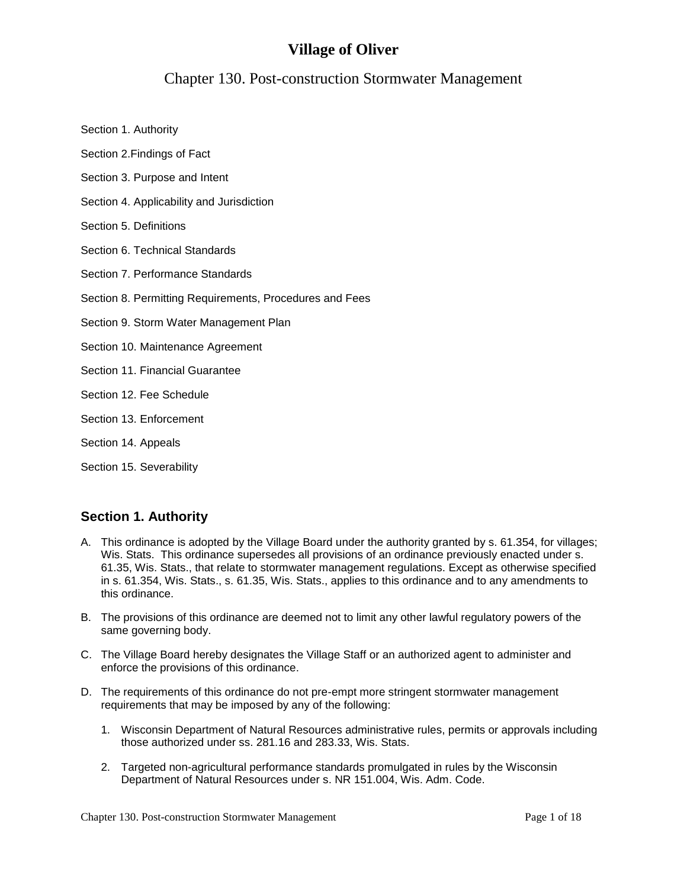# **Village of Oliver**

# Chapter 130. Post-construction Stormwater Management

- Section 1. Authority
- Section 2.Findings of Fact
- Section 3. Purpose and Intent
- Section 4. Applicability and Jurisdiction
- Section 5. Definitions
- Section 6. Technical Standards
- Section 7. Performance Standards
- Section 8. Permitting Requirements, Procedures and Fees
- Section 9. Storm Water Management Plan
- Section 10. Maintenance Agreement
- Section 11. Financial Guarantee
- Section 12. Fee Schedule
- Section 13. Enforcement
- Section 14. Appeals
- Section 15. Severability

# **Section 1. Authority**

- A. This ordinance is adopted by the Village Board under the authority granted by s. 61.354, for villages; Wis. Stats. This ordinance supersedes all provisions of an ordinance previously enacted under s. 61.35, Wis. Stats., that relate to stormwater management regulations. Except as otherwise specified in s. 61.354, Wis. Stats., s. 61.35, Wis. Stats., applies to this ordinance and to any amendments to this ordinance.
- B. The provisions of this ordinance are deemed not to limit any other lawful regulatory powers of the same governing body.
- C. The Village Board hereby designates the Village Staff or an authorized agent to administer and enforce the provisions of this ordinance.
- D. The requirements of this ordinance do not pre-empt more stringent stormwater management requirements that may be imposed by any of the following:
	- 1. Wisconsin Department of Natural Resources administrative rules, permits or approvals including those authorized under ss. 281.16 and 283.33, Wis. Stats.
	- 2. Targeted non-agricultural performance standards promulgated in rules by the Wisconsin Department of Natural Resources under s. NR 151.004, Wis. Adm. Code.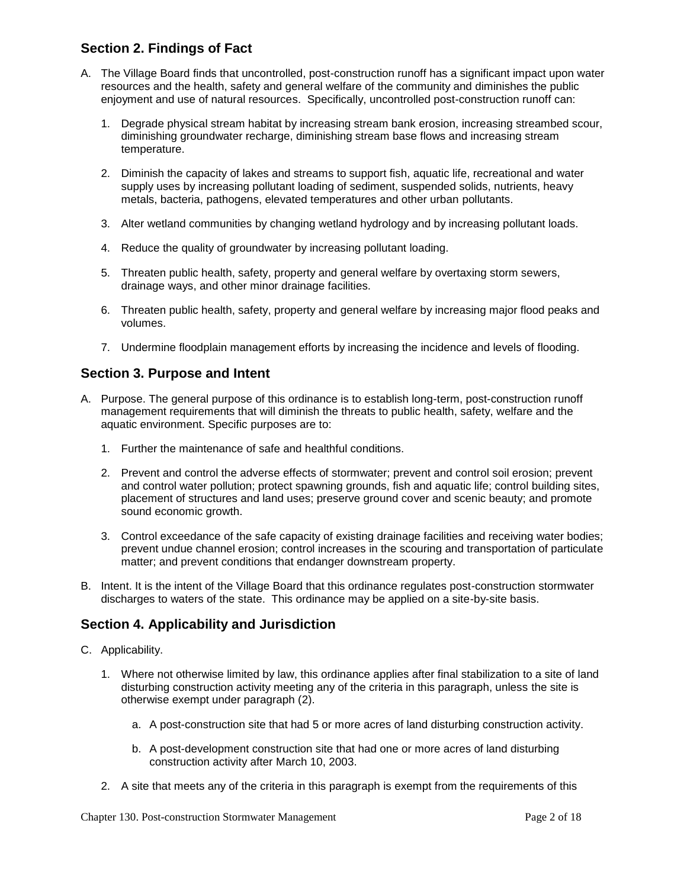# **Section 2. Findings of Fact**

- A. The Village Board finds that uncontrolled, post-construction runoff has a significant impact upon water resources and the health, safety and general welfare of the community and diminishes the public enjoyment and use of natural resources. Specifically, uncontrolled post-construction runoff can:
	- 1. Degrade physical stream habitat by increasing stream bank erosion, increasing streambed scour, diminishing groundwater recharge, diminishing stream base flows and increasing stream temperature.
	- 2. Diminish the capacity of lakes and streams to support fish, aquatic life, recreational and water supply uses by increasing pollutant loading of sediment, suspended solids, nutrients, heavy metals, bacteria, pathogens, elevated temperatures and other urban pollutants.
	- 3. Alter wetland communities by changing wetland hydrology and by increasing pollutant loads.
	- 4. Reduce the quality of groundwater by increasing pollutant loading.
	- 5. Threaten public health, safety, property and general welfare by overtaxing storm sewers, drainage ways, and other minor drainage facilities.
	- 6. Threaten public health, safety, property and general welfare by increasing major flood peaks and volumes.
	- 7. Undermine floodplain management efforts by increasing the incidence and levels of flooding.

### **Section 3. Purpose and Intent**

- A. Purpose. The general purpose of this ordinance is to establish long-term, post-construction runoff management requirements that will diminish the threats to public health, safety, welfare and the aquatic environment. Specific purposes are to:
	- 1. Further the maintenance of safe and healthful conditions.
	- 2. Prevent and control the adverse effects of stormwater; prevent and control soil erosion; prevent and control water pollution; protect spawning grounds, fish and aquatic life; control building sites, placement of structures and land uses; preserve ground cover and scenic beauty; and promote sound economic growth.
	- 3. Control exceedance of the safe capacity of existing drainage facilities and receiving water bodies; prevent undue channel erosion; control increases in the scouring and transportation of particulate matter; and prevent conditions that endanger downstream property.
- B. Intent. It is the intent of the Village Board that this ordinance regulates post-construction stormwater discharges to waters of the state. This ordinance may be applied on a site-by-site basis.

# **Section 4. Applicability and Jurisdiction**

- C. Applicability.
	- 1. Where not otherwise limited by law, this ordinance applies after final stabilization to a site of land disturbing construction activity meeting any of the criteria in this paragraph, unless the site is otherwise exempt under paragraph (2).
		- a. A post-construction site that had 5 or more acres of land disturbing construction activity.
		- b. A post-development construction site that had one or more acres of land disturbing construction activity after March 10, 2003.
	- 2. A site that meets any of the criteria in this paragraph is exempt from the requirements of this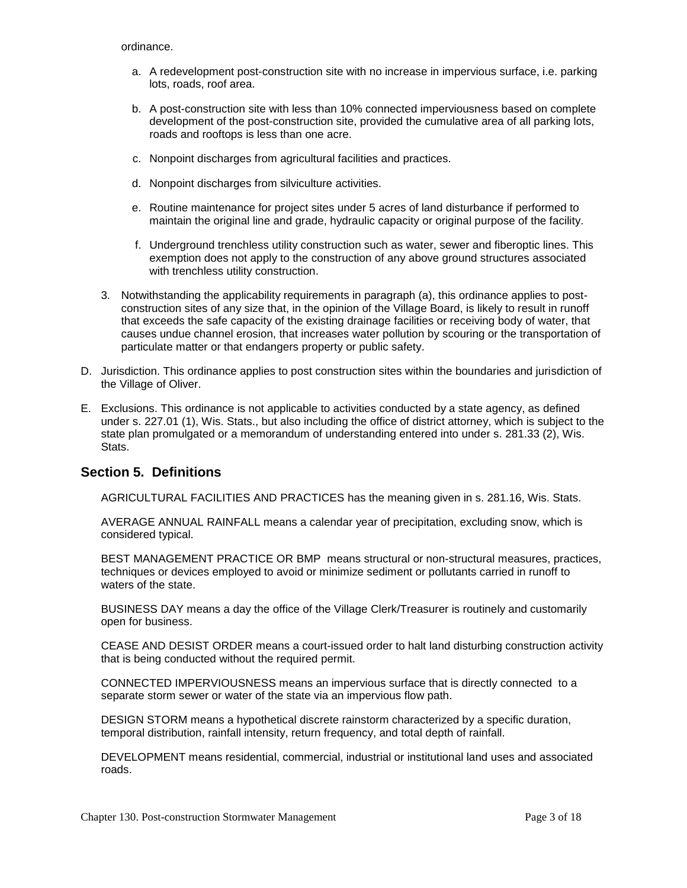ordinance.

- a. A redevelopment post-construction site with no increase in impervious surface, i.e. parking lots, roads, roof area.
- b. A post-construction site with less than 10% connected imperviousness based on complete development of the post-construction site, provided the cumulative area of all parking lots, roads and rooftops is less than one acre.
- c. Nonpoint discharges from agricultural facilities and practices.
- d. Nonpoint discharges from silviculture activities.
- e. Routine maintenance for project sites under 5 acres of land disturbance if performed to maintain the original line and grade, hydraulic capacity or original purpose of the facility.
- f. Underground trenchless utility construction such as water, sewer and fiberoptic lines. This exemption does not apply to the construction of any above ground structures associated with trenchless utility construction.
- 3. Notwithstanding the applicability requirements in paragraph (a), this ordinance applies to postconstruction sites of any size that, in the opinion of the Village Board, is likely to result in runoff that exceeds the safe capacity of the existing drainage facilities or receiving body of water, that causes undue channel erosion, that increases water pollution by scouring or the transportation of particulate matter or that endangers property or public safety.
- D. Jurisdiction. This ordinance applies to post construction sites within the boundaries and jurisdiction of the Village of Oliver.
- E. Exclusions. This ordinance is not applicable to activities conducted by a state agency, as defined under s. 227.01 (1), Wis. Stats., but also including the office of district attorney, which is subject to the state plan promulgated or a memorandum of understanding entered into under s. 281.33 (2), Wis. Stats.

# **Section 5. Definitions**

AGRICULTURAL FACILITIES AND PRACTICES has the meaning given in s. 281.16, Wis. Stats.

AVERAGE ANNUAL RAINFALL means a calendar year of precipitation, excluding snow, which is considered typical.

BEST MANAGEMENT PRACTICE OR BMP means structural or non-structural measures, practices, techniques or devices employed to avoid or minimize sediment or pollutants carried in runoff to waters of the state.

BUSINESS DAY means a day the office of the Village Clerk/Treasurer is routinely and customarily open for business.

CEASE AND DESIST ORDER means a court-issued order to halt land disturbing construction activity that is being conducted without the required permit.

CONNECTED IMPERVIOUSNESS means an impervious surface that is directly connected to a separate storm sewer or water of the state via an impervious flow path.

DESIGN STORM means a hypothetical discrete rainstorm characterized by a specific duration, temporal distribution, rainfall intensity, return frequency, and total depth of rainfall.

DEVELOPMENT means residential, commercial, industrial or institutional land uses and associated roads.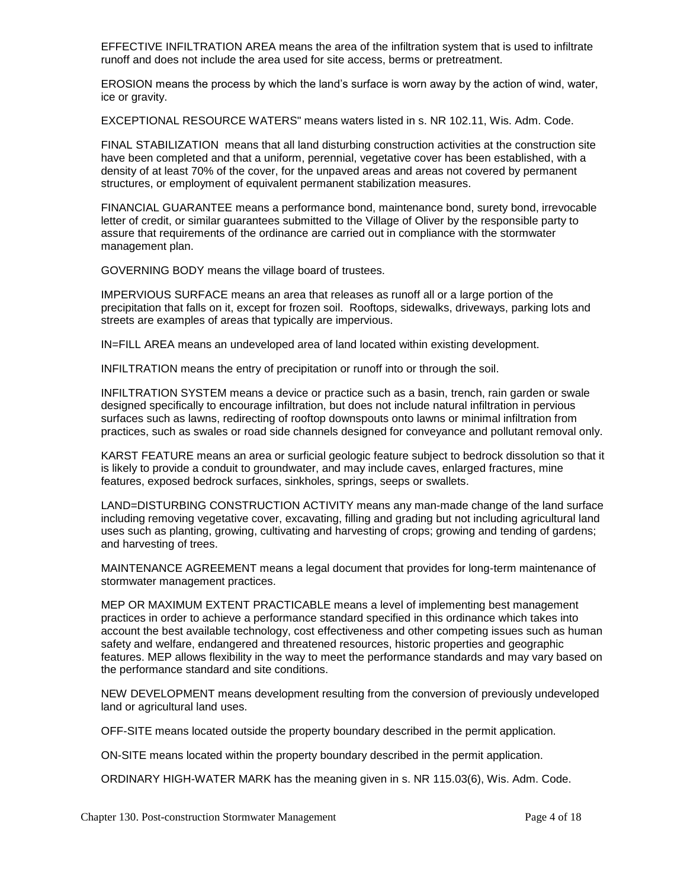EFFECTIVE INFILTRATION AREA means the area of the infiltration system that is used to infiltrate runoff and does not include the area used for site access, berms or pretreatment.

EROSION means the process by which the land's surface is worn away by the action of wind, water, ice or gravity.

EXCEPTIONAL RESOURCE WATERS" means waters listed in s. NR 102.11, Wis. Adm. Code.

FINAL STABILIZATION means that all land disturbing construction activities at the construction site have been completed and that a uniform, perennial, vegetative cover has been established, with a density of at least 70% of the cover, for the unpaved areas and areas not covered by permanent structures, or employment of equivalent permanent stabilization measures.

FINANCIAL GUARANTEE means a performance bond, maintenance bond, surety bond, irrevocable letter of credit, or similar guarantees submitted to the Village of Oliver by the responsible party to assure that requirements of the ordinance are carried out in compliance with the stormwater management plan.

GOVERNING BODY means the village board of trustees.

IMPERVIOUS SURFACE means an area that releases as runoff all or a large portion of the precipitation that falls on it, except for frozen soil. Rooftops, sidewalks, driveways, parking lots and streets are examples of areas that typically are impervious.

IN=FILL AREA means an undeveloped area of land located within existing development.

INFILTRATION means the entry of precipitation or runoff into or through the soil.

INFILTRATION SYSTEM means a device or practice such as a basin, trench, rain garden or swale designed specifically to encourage infiltration, but does not include natural infiltration in pervious surfaces such as lawns, redirecting of rooftop downspouts onto lawns or minimal infiltration from practices, such as swales or road side channels designed for conveyance and pollutant removal only.

KARST FEATURE means an area or surficial geologic feature subject to bedrock dissolution so that it is likely to provide a conduit to groundwater, and may include caves, enlarged fractures, mine features, exposed bedrock surfaces, sinkholes, springs, seeps or swallets.

LAND=DISTURBING CONSTRUCTION ACTIVITY means any man-made change of the land surface including removing vegetative cover, excavating, filling and grading but not including agricultural land uses such as planting, growing, cultivating and harvesting of crops; growing and tending of gardens; and harvesting of trees.

MAINTENANCE AGREEMENT means a legal document that provides for long-term maintenance of stormwater management practices.

MEP OR MAXIMUM EXTENT PRACTICABLE means a level of implementing best management practices in order to achieve a performance standard specified in this ordinance which takes into account the best available technology, cost effectiveness and other competing issues such as human safety and welfare, endangered and threatened resources, historic properties and geographic features. MEP allows flexibility in the way to meet the performance standards and may vary based on the performance standard and site conditions.

NEW DEVELOPMENT means development resulting from the conversion of previously undeveloped land or agricultural land uses.

OFF-SITE means located outside the property boundary described in the permit application.

ON-SITE means located within the property boundary described in the permit application.

ORDINARY HIGH-WATER MARK has the meaning given in s. NR 115.03(6), Wis. Adm. Code.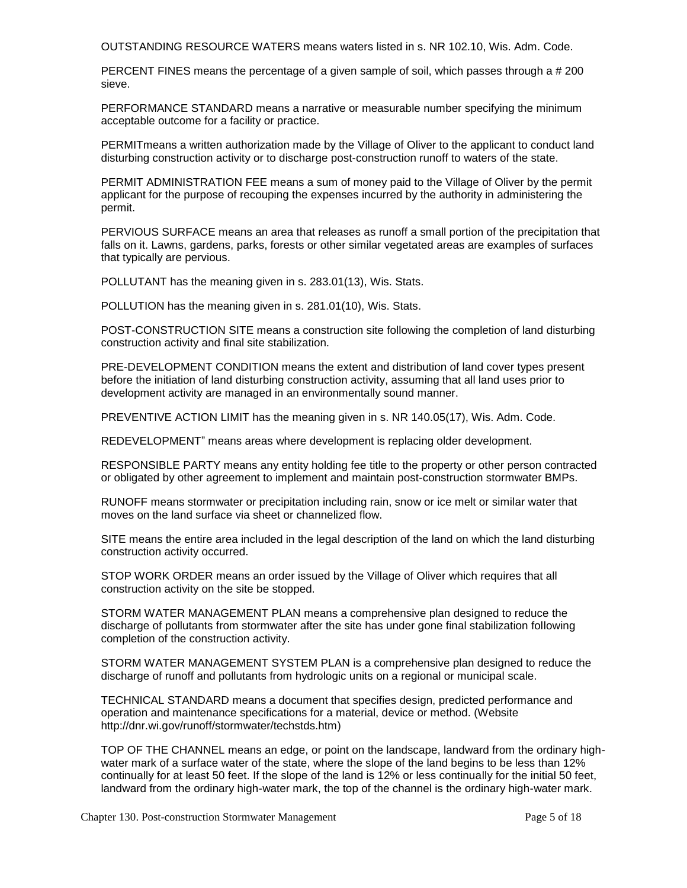OUTSTANDING RESOURCE WATERS means waters listed in s. NR 102.10, Wis. Adm. Code.

PERCENT FINES means the percentage of a given sample of soil, which passes through a # 200 sieve.

PERFORMANCE STANDARD means a narrative or measurable number specifying the minimum acceptable outcome for a facility or practice.

PERMITmeans a written authorization made by the Village of Oliver to the applicant to conduct land disturbing construction activity or to discharge post-construction runoff to waters of the state.

PERMIT ADMINISTRATION FEE means a sum of money paid to the Village of Oliver by the permit applicant for the purpose of recouping the expenses incurred by the authority in administering the permit.

PERVIOUS SURFACE means an area that releases as runoff a small portion of the precipitation that falls on it. Lawns, gardens, parks, forests or other similar vegetated areas are examples of surfaces that typically are pervious.

POLLUTANT has the meaning given in s. 283.01(13), Wis. Stats.

POLLUTION has the meaning given in s. 281.01(10), Wis. Stats.

POST-CONSTRUCTION SITE means a construction site following the completion of land disturbing construction activity and final site stabilization.

PRE-DEVELOPMENT CONDITION means the extent and distribution of land cover types present before the initiation of land disturbing construction activity, assuming that all land uses prior to development activity are managed in an environmentally sound manner.

PREVENTIVE ACTION LIMIT has the meaning given in s. NR 140.05(17), Wis. Adm. Code.

REDEVELOPMENT" means areas where development is replacing older development.

RESPONSIBLE PARTY means any entity holding fee title to the property or other person contracted or obligated by other agreement to implement and maintain post-construction stormwater BMPs.

RUNOFF means stormwater or precipitation including rain, snow or ice melt or similar water that moves on the land surface via sheet or channelized flow.

SITE means the entire area included in the legal description of the land on which the land disturbing construction activity occurred.

STOP WORK ORDER means an order issued by the Village of Oliver which requires that all construction activity on the site be stopped.

STORM WATER MANAGEMENT PLAN means a comprehensive plan designed to reduce the discharge of pollutants from stormwater after the site has under gone final stabilization following completion of the construction activity.

STORM WATER MANAGEMENT SYSTEM PLAN is a comprehensive plan designed to reduce the discharge of runoff and pollutants from hydrologic units on a regional or municipal scale.

TECHNICAL STANDARD means a document that specifies design, predicted performance and operation and maintenance specifications for a material, device or method. (Website http://dnr.wi.gov/runoff/stormwater/techstds.htm)

TOP OF THE CHANNEL means an edge, or point on the landscape, landward from the ordinary highwater mark of a surface water of the state, where the slope of the land begins to be less than 12% continually for at least 50 feet. If the slope of the land is 12% or less continually for the initial 50 feet, landward from the ordinary high-water mark, the top of the channel is the ordinary high-water mark.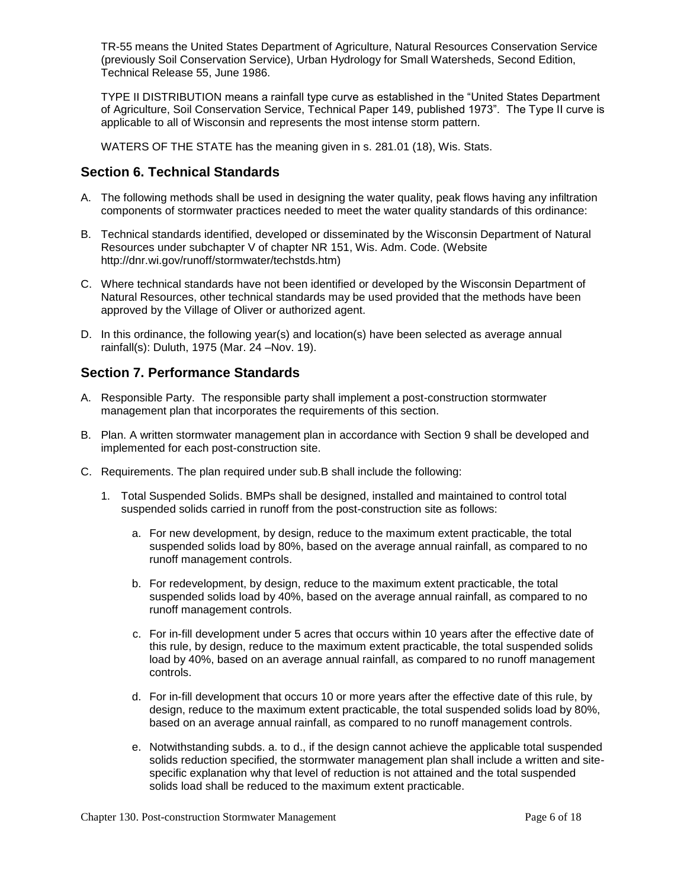TR-55 means the United States Department of Agriculture, Natural Resources Conservation Service (previously Soil Conservation Service), Urban Hydrology for Small Watersheds, Second Edition, Technical Release 55, June 1986.

TYPE II DISTRIBUTION means a rainfall type curve as established in the "United States Department of Agriculture, Soil Conservation Service, Technical Paper 149, published 1973". The Type II curve is applicable to all of Wisconsin and represents the most intense storm pattern.

WATERS OF THE STATE has the meaning given in s. 281.01 (18), Wis. Stats.

### **Section 6. Technical Standards**

- A. The following methods shall be used in designing the water quality, peak flows having any infiltration components of stormwater practices needed to meet the water quality standards of this ordinance:
- B. Technical standards identified, developed or disseminated by the Wisconsin Department of Natural Resources under subchapter V of chapter NR 151, Wis. Adm. Code. (Website http://dnr.wi.gov/runoff/stormwater/techstds.htm)
- C. Where technical standards have not been identified or developed by the Wisconsin Department of Natural Resources, other technical standards may be used provided that the methods have been approved by the Village of Oliver or authorized agent.
- D. In this ordinance, the following year(s) and location(s) have been selected as average annual rainfall(s): Duluth, 1975 (Mar. 24 –Nov. 19).

### **Section 7. Performance Standards**

- A. Responsible Party. The responsible party shall implement a post-construction stormwater management plan that incorporates the requirements of this section.
- B. Plan. A written stormwater management plan in accordance with Section 9 shall be developed and implemented for each post-construction site.
- C. Requirements. The plan required under sub.B shall include the following:
	- 1. Total Suspended Solids. BMPs shall be designed, installed and maintained to control total suspended solids carried in runoff from the post-construction site as follows:
		- a. For new development, by design, reduce to the maximum extent practicable, the total suspended solids load by 80%, based on the average annual rainfall, as compared to no runoff management controls.
		- b. For redevelopment, by design, reduce to the maximum extent practicable, the total suspended solids load by 40%, based on the average annual rainfall, as compared to no runoff management controls.
		- c. For in-fill development under 5 acres that occurs within 10 years after the effective date of this rule, by design, reduce to the maximum extent practicable, the total suspended solids load by 40%, based on an average annual rainfall, as compared to no runoff management controls.
		- d. For in-fill development that occurs 10 or more years after the effective date of this rule, by design, reduce to the maximum extent practicable, the total suspended solids load by 80%, based on an average annual rainfall, as compared to no runoff management controls.
		- e. Notwithstanding subds. a. to d., if the design cannot achieve the applicable total suspended solids reduction specified, the stormwater management plan shall include a written and sitespecific explanation why that level of reduction is not attained and the total suspended solids load shall be reduced to the maximum extent practicable.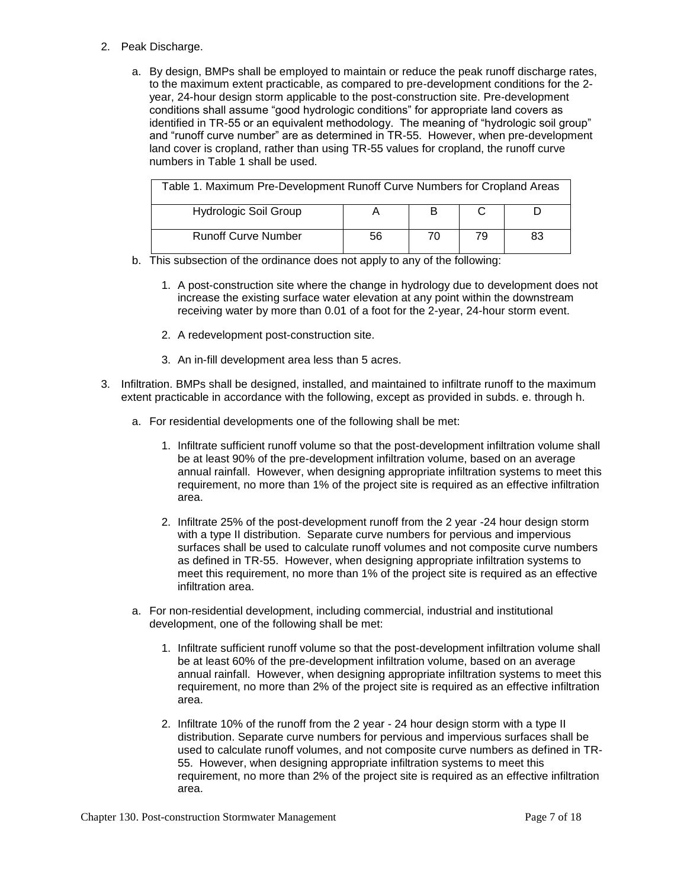#### 2. Peak Discharge.

a. By design, BMPs shall be employed to maintain or reduce the peak runoff discharge rates, to the maximum extent practicable, as compared to pre-development conditions for the 2 year, 24-hour design storm applicable to the post-construction site. Pre-development conditions shall assume "good hydrologic conditions" for appropriate land covers as identified in TR-55 or an equivalent methodology. The meaning of "hydrologic soil group" and "runoff curve number" are as determined in TR-55. However, when pre-development land cover is cropland, rather than using TR-55 values for cropland, the runoff curve numbers in Table 1 shall be used.

| Table 1. Maximum Pre-Development Runoff Curve Numbers for Cropland Areas |    |    |    |    |
|--------------------------------------------------------------------------|----|----|----|----|
| <b>Hydrologic Soil Group</b>                                             |    | В  |    |    |
| <b>Runoff Curve Number</b>                                               | 56 | 70 | 79 | 83 |

- b. This subsection of the ordinance does not apply to any of the following:
	- 1. A post-construction site where the change in hydrology due to development does not increase the existing surface water elevation at any point within the downstream receiving water by more than 0.01 of a foot for the 2-year, 24-hour storm event.
	- 2. A redevelopment post-construction site.
	- 3. An in-fill development area less than 5 acres.
- 3. Infiltration. BMPs shall be designed, installed, and maintained to infiltrate runoff to the maximum extent practicable in accordance with the following, except as provided in subds. e. through h.
	- a. For residential developments one of the following shall be met:
		- 1. Infiltrate sufficient runoff volume so that the post-development infiltration volume shall be at least 90% of the pre-development infiltration volume, based on an average annual rainfall. However, when designing appropriate infiltration systems to meet this requirement, no more than 1% of the project site is required as an effective infiltration area.
		- 2. Infiltrate 25% of the post-development runoff from the 2 year -24 hour design storm with a type II distribution. Separate curve numbers for pervious and impervious surfaces shall be used to calculate runoff volumes and not composite curve numbers as defined in TR-55. However, when designing appropriate infiltration systems to meet this requirement, no more than 1% of the project site is required as an effective infiltration area.
	- a. For non-residential development, including commercial, industrial and institutional development, one of the following shall be met:
		- 1. Infiltrate sufficient runoff volume so that the post-development infiltration volume shall be at least 60% of the pre-development infiltration volume, based on an average annual rainfall. However, when designing appropriate infiltration systems to meet this requirement, no more than 2% of the project site is required as an effective infiltration area.
		- 2. Infiltrate 10% of the runoff from the 2 year 24 hour design storm with a type II distribution. Separate curve numbers for pervious and impervious surfaces shall be used to calculate runoff volumes, and not composite curve numbers as defined in TR-55. However, when designing appropriate infiltration systems to meet this requirement, no more than 2% of the project site is required as an effective infiltration area.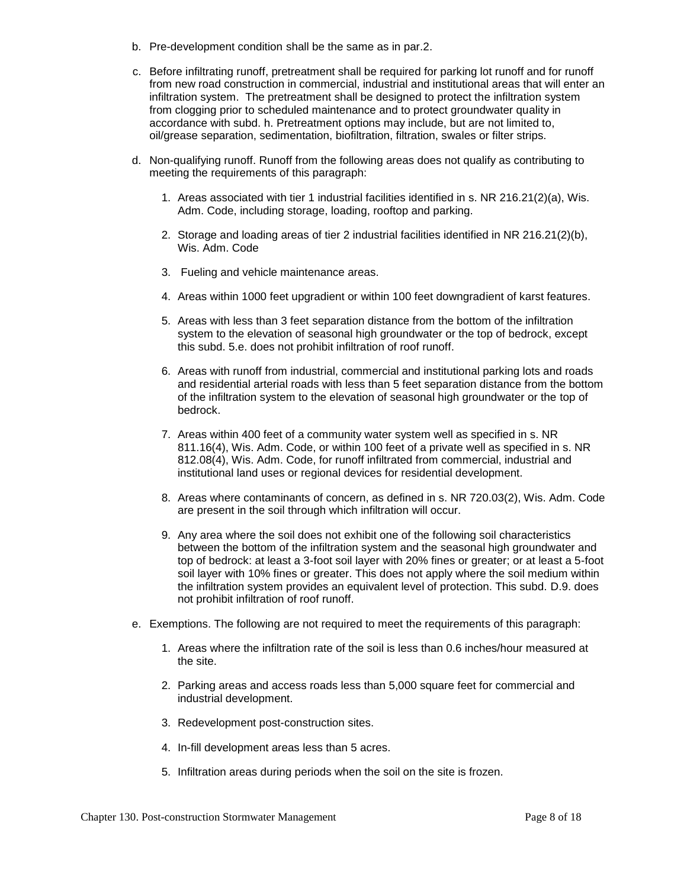- b. Pre-development condition shall be the same as in par.2.
- c. Before infiltrating runoff, pretreatment shall be required for parking lot runoff and for runoff from new road construction in commercial, industrial and institutional areas that will enter an infiltration system. The pretreatment shall be designed to protect the infiltration system from clogging prior to scheduled maintenance and to protect groundwater quality in accordance with subd. h. Pretreatment options may include, but are not limited to, oil/grease separation, sedimentation, biofiltration, filtration, swales or filter strips.
- d. Non-qualifying runoff. Runoff from the following areas does not qualify as contributing to meeting the requirements of this paragraph:
	- 1. Areas associated with tier 1 industrial facilities identified in s. NR 216.21(2)(a), Wis. Adm. Code, including storage, loading, rooftop and parking.
	- 2. Storage and loading areas of tier 2 industrial facilities identified in NR 216.21(2)(b), Wis. Adm. Code
	- 3. Fueling and vehicle maintenance areas.
	- 4. Areas within 1000 feet upgradient or within 100 feet downgradient of karst features.
	- 5. Areas with less than 3 feet separation distance from the bottom of the infiltration system to the elevation of seasonal high groundwater or the top of bedrock, except this subd. 5.e. does not prohibit infiltration of roof runoff.
	- 6. Areas with runoff from industrial, commercial and institutional parking lots and roads and residential arterial roads with less than 5 feet separation distance from the bottom of the infiltration system to the elevation of seasonal high groundwater or the top of bedrock.
	- 7. Areas within 400 feet of a community water system well as specified in s. NR 811.16(4), Wis. Adm. Code, or within 100 feet of a private well as specified in s. NR 812.08(4), Wis. Adm. Code, for runoff infiltrated from commercial, industrial and institutional land uses or regional devices for residential development.
	- 8. Areas where contaminants of concern, as defined in s. NR 720.03(2), Wis. Adm. Code are present in the soil through which infiltration will occur.
	- 9. Any area where the soil does not exhibit one of the following soil characteristics between the bottom of the infiltration system and the seasonal high groundwater and top of bedrock: at least a 3-foot soil layer with 20% fines or greater; or at least a 5-foot soil layer with 10% fines or greater. This does not apply where the soil medium within the infiltration system provides an equivalent level of protection. This subd. D.9. does not prohibit infiltration of roof runoff.
- e. Exemptions. The following are not required to meet the requirements of this paragraph:
	- 1. Areas where the infiltration rate of the soil is less than 0.6 inches/hour measured at the site.
	- 2. Parking areas and access roads less than 5,000 square feet for commercial and industrial development.
	- 3. Redevelopment post-construction sites.
	- 4. In-fill development areas less than 5 acres.
	- 5. Infiltration areas during periods when the soil on the site is frozen.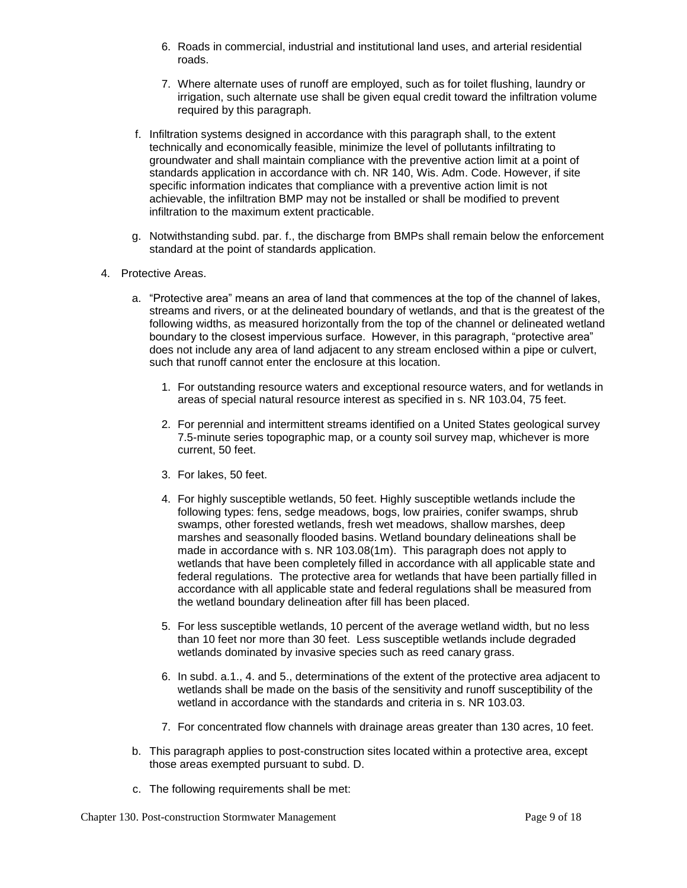- 6. Roads in commercial, industrial and institutional land uses, and arterial residential roads.
- 7. Where alternate uses of runoff are employed, such as for toilet flushing, laundry or irrigation, such alternate use shall be given equal credit toward the infiltration volume required by this paragraph.
- f. Infiltration systems designed in accordance with this paragraph shall, to the extent technically and economically feasible, minimize the level of pollutants infiltrating to groundwater and shall maintain compliance with the preventive action limit at a point of standards application in accordance with ch. NR 140, Wis. Adm. Code. However, if site specific information indicates that compliance with a preventive action limit is not achievable, the infiltration BMP may not be installed or shall be modified to prevent infiltration to the maximum extent practicable.
- g. Notwithstanding subd. par. f., the discharge from BMPs shall remain below the enforcement standard at the point of standards application.
- 4. Protective Areas.
	- a. "Protective area" means an area of land that commences at the top of the channel of lakes, streams and rivers, or at the delineated boundary of wetlands, and that is the greatest of the following widths, as measured horizontally from the top of the channel or delineated wetland boundary to the closest impervious surface. However, in this paragraph, "protective area" does not include any area of land adjacent to any stream enclosed within a pipe or culvert, such that runoff cannot enter the enclosure at this location.
		- 1. For outstanding resource waters and exceptional resource waters, and for wetlands in areas of special natural resource interest as specified in s. NR 103.04, 75 feet.
		- 2. For perennial and intermittent streams identified on a United States geological survey 7.5-minute series topographic map, or a county soil survey map, whichever is more current, 50 feet.
		- 3. For lakes, 50 feet.
		- 4. For highly susceptible wetlands, 50 feet. Highly susceptible wetlands include the following types: fens, sedge meadows, bogs, low prairies, conifer swamps, shrub swamps, other forested wetlands, fresh wet meadows, shallow marshes, deep marshes and seasonally flooded basins. Wetland boundary delineations shall be made in accordance with s. NR 103.08(1m). This paragraph does not apply to wetlands that have been completely filled in accordance with all applicable state and federal regulations. The protective area for wetlands that have been partially filled in accordance with all applicable state and federal regulations shall be measured from the wetland boundary delineation after fill has been placed.
		- 5. For less susceptible wetlands, 10 percent of the average wetland width, but no less than 10 feet nor more than 30 feet. Less susceptible wetlands include degraded wetlands dominated by invasive species such as reed canary grass.
		- 6. In subd. a.1., 4. and 5., determinations of the extent of the protective area adjacent to wetlands shall be made on the basis of the sensitivity and runoff susceptibility of the wetland in accordance with the standards and criteria in s. NR 103.03.
		- 7. For concentrated flow channels with drainage areas greater than 130 acres, 10 feet.
	- b. This paragraph applies to post-construction sites located within a protective area, except those areas exempted pursuant to subd. D.
	- c. The following requirements shall be met: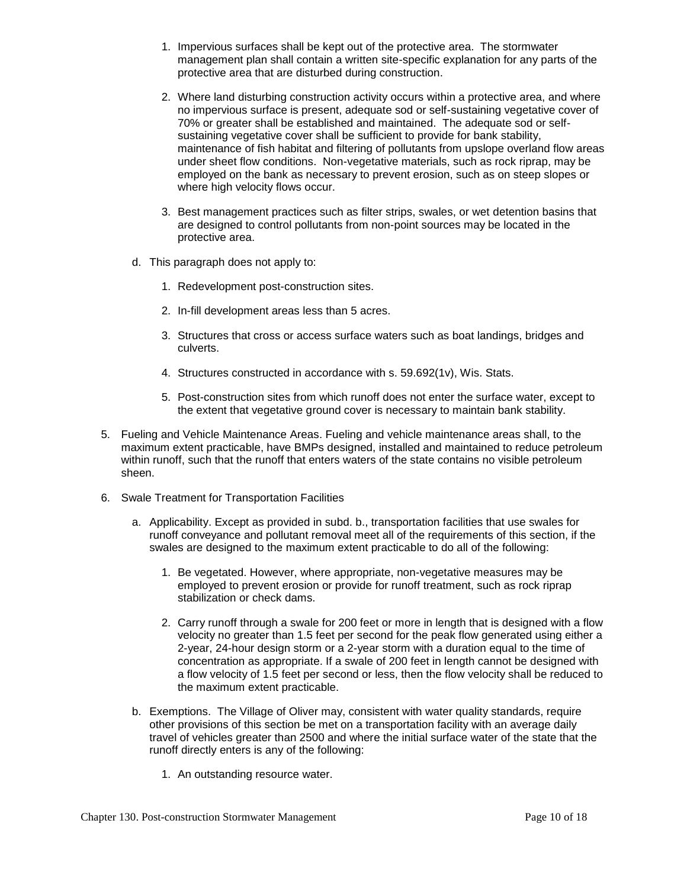- 1. Impervious surfaces shall be kept out of the protective area. The stormwater management plan shall contain a written site-specific explanation for any parts of the protective area that are disturbed during construction.
- 2. Where land disturbing construction activity occurs within a protective area, and where no impervious surface is present, adequate sod or self-sustaining vegetative cover of 70% or greater shall be established and maintained. The adequate sod or selfsustaining vegetative cover shall be sufficient to provide for bank stability, maintenance of fish habitat and filtering of pollutants from upslope overland flow areas under sheet flow conditions. Non-vegetative materials, such as rock riprap, may be employed on the bank as necessary to prevent erosion, such as on steep slopes or where high velocity flows occur.
- 3. Best management practices such as filter strips, swales, or wet detention basins that are designed to control pollutants from non-point sources may be located in the protective area.
- d. This paragraph does not apply to:
	- 1. Redevelopment post-construction sites.
	- 2. In-fill development areas less than 5 acres.
	- 3. Structures that cross or access surface waters such as boat landings, bridges and culverts.
	- 4. Structures constructed in accordance with s. 59.692(1v), Wis. Stats.
	- 5. Post-construction sites from which runoff does not enter the surface water, except to the extent that vegetative ground cover is necessary to maintain bank stability.
- 5. Fueling and Vehicle Maintenance Areas. Fueling and vehicle maintenance areas shall, to the maximum extent practicable, have BMPs designed, installed and maintained to reduce petroleum within runoff, such that the runoff that enters waters of the state contains no visible petroleum sheen.
- 6. Swale Treatment for Transportation Facilities
	- a. Applicability. Except as provided in subd. b., transportation facilities that use swales for runoff conveyance and pollutant removal meet all of the requirements of this section, if the swales are designed to the maximum extent practicable to do all of the following:
		- 1. Be vegetated. However, where appropriate, non-vegetative measures may be employed to prevent erosion or provide for runoff treatment, such as rock riprap stabilization or check dams.
		- 2. Carry runoff through a swale for 200 feet or more in length that is designed with a flow velocity no greater than 1.5 feet per second for the peak flow generated using either a 2-year, 24-hour design storm or a 2-year storm with a duration equal to the time of concentration as appropriate. If a swale of 200 feet in length cannot be designed with a flow velocity of 1.5 feet per second or less, then the flow velocity shall be reduced to the maximum extent practicable.
	- b. Exemptions. The Village of Oliver may, consistent with water quality standards, require other provisions of this section be met on a transportation facility with an average daily travel of vehicles greater than 2500 and where the initial surface water of the state that the runoff directly enters is any of the following:
		- 1. An outstanding resource water.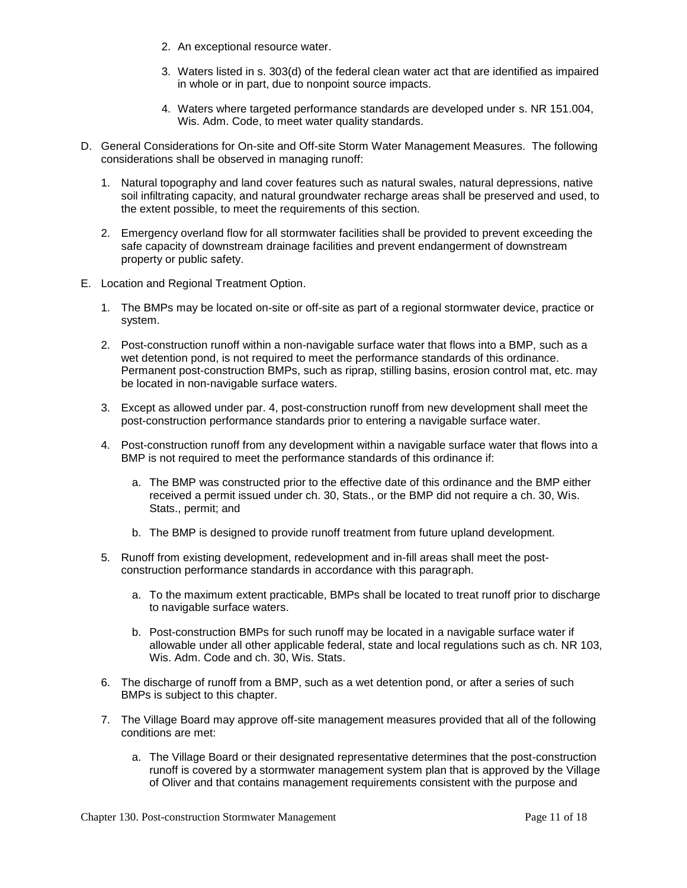- 2. An exceptional resource water.
- 3. Waters listed in s. 303(d) of the federal clean water act that are identified as impaired in whole or in part, due to nonpoint source impacts.
- 4. Waters where targeted performance standards are developed under s. NR 151.004, Wis. Adm. Code, to meet water quality standards.
- D. General Considerations for On-site and Off-site Storm Water Management Measures. The following considerations shall be observed in managing runoff:
	- 1. Natural topography and land cover features such as natural swales, natural depressions, native soil infiltrating capacity, and natural groundwater recharge areas shall be preserved and used, to the extent possible, to meet the requirements of this section.
	- 2. Emergency overland flow for all stormwater facilities shall be provided to prevent exceeding the safe capacity of downstream drainage facilities and prevent endangerment of downstream property or public safety.
- E. Location and Regional Treatment Option.
	- 1. The BMPs may be located on-site or off-site as part of a regional stormwater device, practice or system.
	- 2. Post-construction runoff within a non-navigable surface water that flows into a BMP, such as a wet detention pond, is not required to meet the performance standards of this ordinance. Permanent post-construction BMPs, such as riprap, stilling basins, erosion control mat, etc. may be located in non-navigable surface waters.
	- 3. Except as allowed under par. 4, post-construction runoff from new development shall meet the post-construction performance standards prior to entering a navigable surface water.
	- 4. Post-construction runoff from any development within a navigable surface water that flows into a BMP is not required to meet the performance standards of this ordinance if:
		- a. The BMP was constructed prior to the effective date of this ordinance and the BMP either received a permit issued under ch. 30, Stats., or the BMP did not require a ch. 30, Wis. Stats., permit; and
		- b. The BMP is designed to provide runoff treatment from future upland development.
	- 5. Runoff from existing development, redevelopment and in-fill areas shall meet the postconstruction performance standards in accordance with this paragraph.
		- a. To the maximum extent practicable, BMPs shall be located to treat runoff prior to discharge to navigable surface waters.
		- b. Post-construction BMPs for such runoff may be located in a navigable surface water if allowable under all other applicable federal, state and local regulations such as ch. NR 103, Wis. Adm. Code and ch. 30, Wis. Stats.
	- 6. The discharge of runoff from a BMP, such as a wet detention pond, or after a series of such BMPs is subject to this chapter.
	- 7. The Village Board may approve off-site management measures provided that all of the following conditions are met:
		- a. The Village Board or their designated representative determines that the post-construction runoff is covered by a stormwater management system plan that is approved by the Village of Oliver and that contains management requirements consistent with the purpose and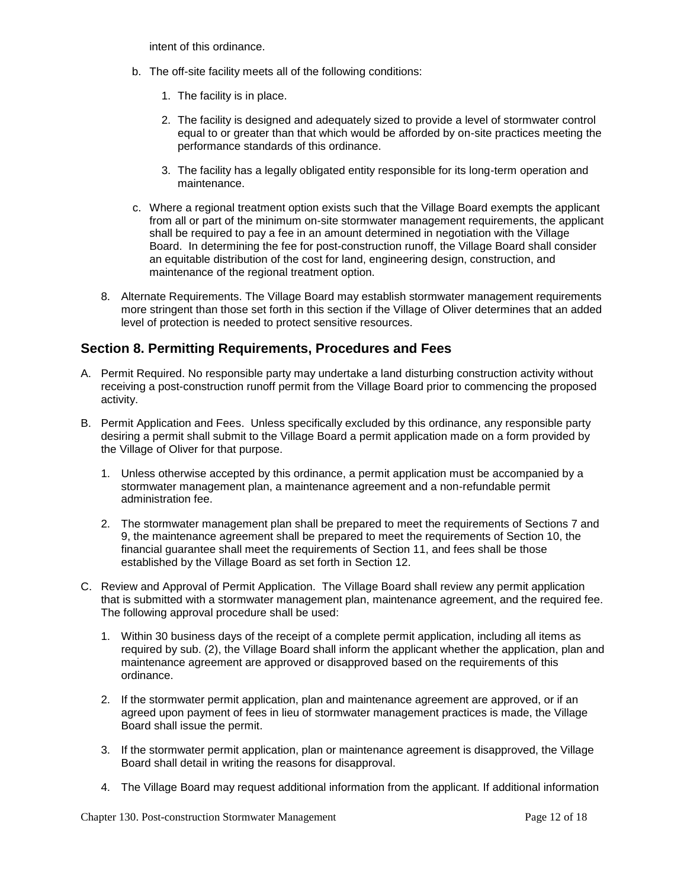intent of this ordinance.

- b. The off-site facility meets all of the following conditions:
	- 1. The facility is in place.
	- 2. The facility is designed and adequately sized to provide a level of stormwater control equal to or greater than that which would be afforded by on-site practices meeting the performance standards of this ordinance.
	- 3. The facility has a legally obligated entity responsible for its long-term operation and maintenance.
- c. Where a regional treatment option exists such that the Village Board exempts the applicant from all or part of the minimum on-site stormwater management requirements, the applicant shall be required to pay a fee in an amount determined in negotiation with the Village Board. In determining the fee for post-construction runoff, the Village Board shall consider an equitable distribution of the cost for land, engineering design, construction, and maintenance of the regional treatment option.
- 8. Alternate Requirements. The Village Board may establish stormwater management requirements more stringent than those set forth in this section if the Village of Oliver determines that an added level of protection is needed to protect sensitive resources.

### **Section 8. Permitting Requirements, Procedures and Fees**

- A. Permit Required. No responsible party may undertake a land disturbing construction activity without receiving a post-construction runoff permit from the Village Board prior to commencing the proposed activity.
- B. Permit Application and Fees. Unless specifically excluded by this ordinance, any responsible party desiring a permit shall submit to the Village Board a permit application made on a form provided by the Village of Oliver for that purpose.
	- 1. Unless otherwise accepted by this ordinance, a permit application must be accompanied by a stormwater management plan, a maintenance agreement and a non-refundable permit administration fee.
	- 2. The stormwater management plan shall be prepared to meet the requirements of Sections 7 and 9, the maintenance agreement shall be prepared to meet the requirements of Section 10, the financial guarantee shall meet the requirements of Section 11, and fees shall be those established by the Village Board as set forth in Section 12.
- C. Review and Approval of Permit Application. The Village Board shall review any permit application that is submitted with a stormwater management plan, maintenance agreement, and the required fee. The following approval procedure shall be used:
	- 1. Within 30 business days of the receipt of a complete permit application, including all items as required by sub. (2), the Village Board shall inform the applicant whether the application, plan and maintenance agreement are approved or disapproved based on the requirements of this ordinance.
	- 2. If the stormwater permit application, plan and maintenance agreement are approved, or if an agreed upon payment of fees in lieu of stormwater management practices is made, the Village Board shall issue the permit.
	- 3. If the stormwater permit application, plan or maintenance agreement is disapproved, the Village Board shall detail in writing the reasons for disapproval.
	- 4. The Village Board may request additional information from the applicant. If additional information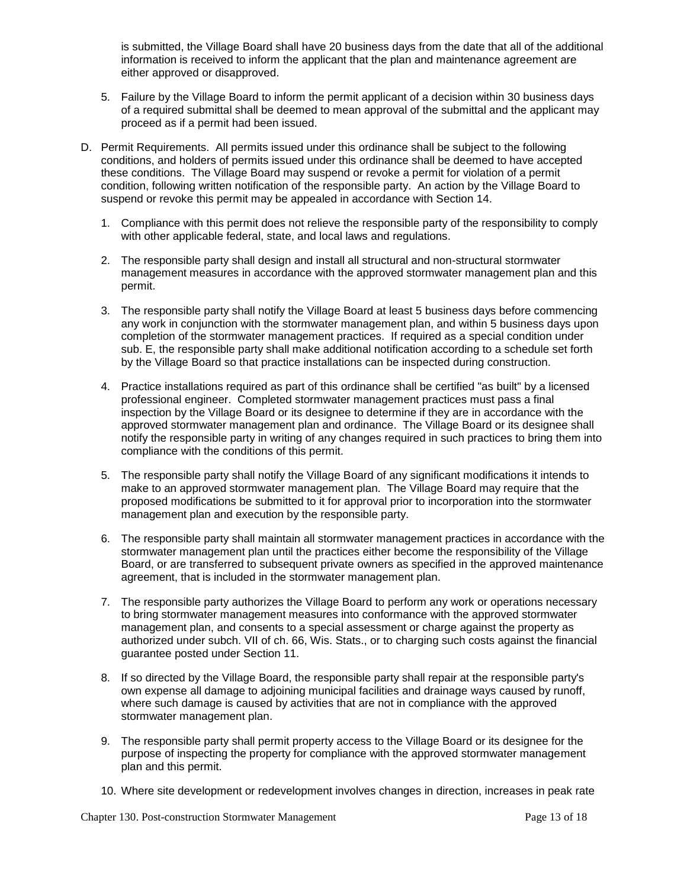is submitted, the Village Board shall have 20 business days from the date that all of the additional information is received to inform the applicant that the plan and maintenance agreement are either approved or disapproved.

- 5. Failure by the Village Board to inform the permit applicant of a decision within 30 business days of a required submittal shall be deemed to mean approval of the submittal and the applicant may proceed as if a permit had been issued.
- D. Permit Requirements. All permits issued under this ordinance shall be subject to the following conditions, and holders of permits issued under this ordinance shall be deemed to have accepted these conditions. The Village Board may suspend or revoke a permit for violation of a permit condition, following written notification of the responsible party. An action by the Village Board to suspend or revoke this permit may be appealed in accordance with Section 14.
	- 1. Compliance with this permit does not relieve the responsible party of the responsibility to comply with other applicable federal, state, and local laws and regulations.
	- 2. The responsible party shall design and install all structural and non-structural stormwater management measures in accordance with the approved stormwater management plan and this permit.
	- 3. The responsible party shall notify the Village Board at least 5 business days before commencing any work in conjunction with the stormwater management plan, and within 5 business days upon completion of the stormwater management practices. If required as a special condition under sub. E, the responsible party shall make additional notification according to a schedule set forth by the Village Board so that practice installations can be inspected during construction.
	- 4. Practice installations required as part of this ordinance shall be certified "as built" by a licensed professional engineer. Completed stormwater management practices must pass a final inspection by the Village Board or its designee to determine if they are in accordance with the approved stormwater management plan and ordinance. The Village Board or its designee shall notify the responsible party in writing of any changes required in such practices to bring them into compliance with the conditions of this permit.
	- 5. The responsible party shall notify the Village Board of any significant modifications it intends to make to an approved stormwater management plan. The Village Board may require that the proposed modifications be submitted to it for approval prior to incorporation into the stormwater management plan and execution by the responsible party.
	- 6. The responsible party shall maintain all stormwater management practices in accordance with the stormwater management plan until the practices either become the responsibility of the Village Board, or are transferred to subsequent private owners as specified in the approved maintenance agreement, that is included in the stormwater management plan.
	- 7. The responsible party authorizes the Village Board to perform any work or operations necessary to bring stormwater management measures into conformance with the approved stormwater management plan, and consents to a special assessment or charge against the property as authorized under subch. VII of ch. 66, Wis. Stats., or to charging such costs against the financial guarantee posted under Section 11.
	- 8. If so directed by the Village Board, the responsible party shall repair at the responsible party's own expense all damage to adjoining municipal facilities and drainage ways caused by runoff, where such damage is caused by activities that are not in compliance with the approved stormwater management plan.
	- 9. The responsible party shall permit property access to the Village Board or its designee for the purpose of inspecting the property for compliance with the approved stormwater management plan and this permit.
	- 10. Where site development or redevelopment involves changes in direction, increases in peak rate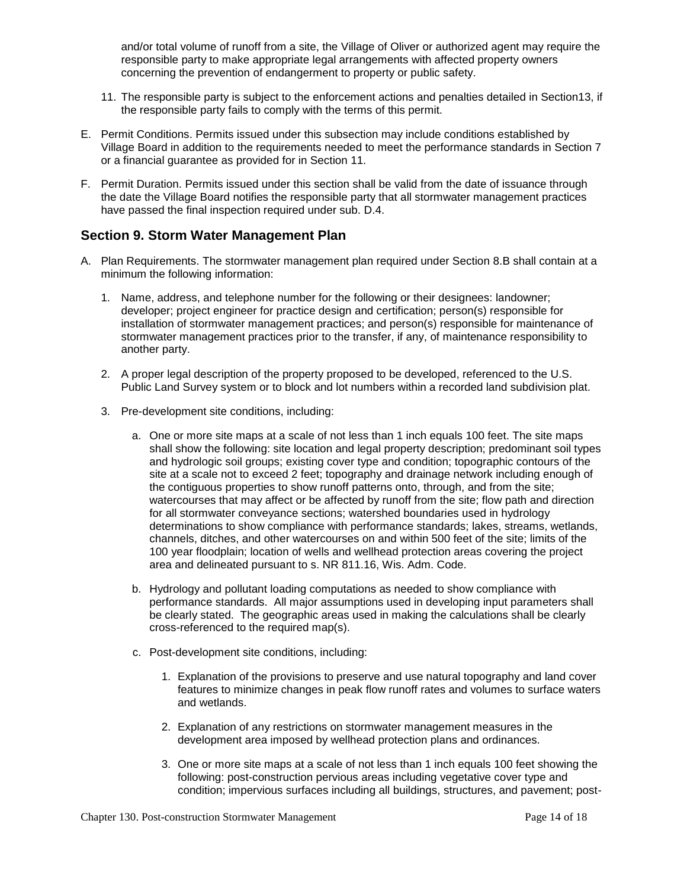and/or total volume of runoff from a site, the Village of Oliver or authorized agent may require the responsible party to make appropriate legal arrangements with affected property owners concerning the prevention of endangerment to property or public safety.

- 11. The responsible party is subject to the enforcement actions and penalties detailed in Section13, if the responsible party fails to comply with the terms of this permit.
- E. Permit Conditions. Permits issued under this subsection may include conditions established by Village Board in addition to the requirements needed to meet the performance standards in Section 7 or a financial guarantee as provided for in Section 11.
- F. Permit Duration. Permits issued under this section shall be valid from the date of issuance through the date the Village Board notifies the responsible party that all stormwater management practices have passed the final inspection required under sub. D.4.

### **Section 9. Storm Water Management Plan**

- A. Plan Requirements. The stormwater management plan required under Section 8.B shall contain at a minimum the following information:
	- 1. Name, address, and telephone number for the following or their designees: landowner; developer; project engineer for practice design and certification; person(s) responsible for installation of stormwater management practices; and person(s) responsible for maintenance of stormwater management practices prior to the transfer, if any, of maintenance responsibility to another party.
	- 2. A proper legal description of the property proposed to be developed, referenced to the U.S. Public Land Survey system or to block and lot numbers within a recorded land subdivision plat.
	- 3. Pre-development site conditions, including:
		- a. One or more site maps at a scale of not less than 1 inch equals 100 feet. The site maps shall show the following: site location and legal property description; predominant soil types and hydrologic soil groups; existing cover type and condition; topographic contours of the site at a scale not to exceed 2 feet; topography and drainage network including enough of the contiguous properties to show runoff patterns onto, through, and from the site; watercourses that may affect or be affected by runoff from the site; flow path and direction for all stormwater conveyance sections; watershed boundaries used in hydrology determinations to show compliance with performance standards; lakes, streams, wetlands, channels, ditches, and other watercourses on and within 500 feet of the site; limits of the 100 year floodplain; location of wells and wellhead protection areas covering the project area and delineated pursuant to s. NR 811.16, Wis. Adm. Code.
		- b. Hydrology and pollutant loading computations as needed to show compliance with performance standards. All major assumptions used in developing input parameters shall be clearly stated. The geographic areas used in making the calculations shall be clearly cross-referenced to the required map(s).
		- c. Post-development site conditions, including:
			- 1. Explanation of the provisions to preserve and use natural topography and land cover features to minimize changes in peak flow runoff rates and volumes to surface waters and wetlands.
			- 2. Explanation of any restrictions on stormwater management measures in the development area imposed by wellhead protection plans and ordinances.
			- 3. One or more site maps at a scale of not less than 1 inch equals 100 feet showing the following: post-construction pervious areas including vegetative cover type and condition; impervious surfaces including all buildings, structures, and pavement; post-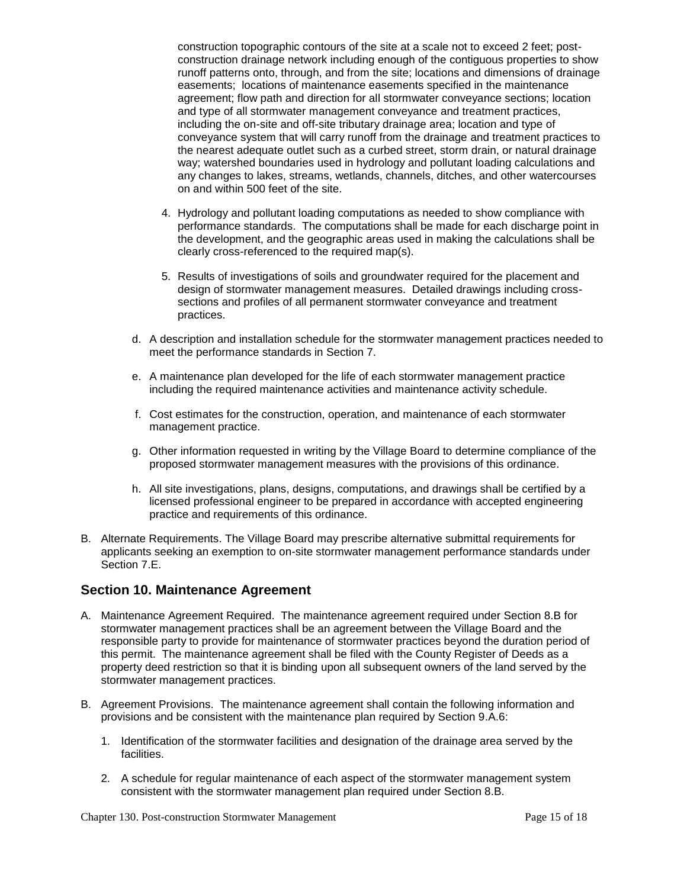construction topographic contours of the site at a scale not to exceed 2 feet; postconstruction drainage network including enough of the contiguous properties to show runoff patterns onto, through, and from the site; locations and dimensions of drainage easements; locations of maintenance easements specified in the maintenance agreement; flow path and direction for all stormwater conveyance sections; location and type of all stormwater management conveyance and treatment practices, including the on-site and off-site tributary drainage area; location and type of conveyance system that will carry runoff from the drainage and treatment practices to the nearest adequate outlet such as a curbed street, storm drain, or natural drainage way; watershed boundaries used in hydrology and pollutant loading calculations and any changes to lakes, streams, wetlands, channels, ditches, and other watercourses on and within 500 feet of the site.

- 4. Hydrology and pollutant loading computations as needed to show compliance with performance standards. The computations shall be made for each discharge point in the development, and the geographic areas used in making the calculations shall be clearly cross-referenced to the required map(s).
- 5. Results of investigations of soils and groundwater required for the placement and design of stormwater management measures. Detailed drawings including crosssections and profiles of all permanent stormwater conveyance and treatment practices.
- d. A description and installation schedule for the stormwater management practices needed to meet the performance standards in Section 7.
- e. A maintenance plan developed for the life of each stormwater management practice including the required maintenance activities and maintenance activity schedule.
- f. Cost estimates for the construction, operation, and maintenance of each stormwater management practice.
- g. Other information requested in writing by the Village Board to determine compliance of the proposed stormwater management measures with the provisions of this ordinance.
- h. All site investigations, plans, designs, computations, and drawings shall be certified by a licensed professional engineer to be prepared in accordance with accepted engineering practice and requirements of this ordinance.
- B. Alternate Requirements. The Village Board may prescribe alternative submittal requirements for applicants seeking an exemption to on-site stormwater management performance standards under Section 7.E.

#### **Section 10. Maintenance Agreement**

- A. Maintenance Agreement Required. The maintenance agreement required under Section 8.B for stormwater management practices shall be an agreement between the Village Board and the responsible party to provide for maintenance of stormwater practices beyond the duration period of this permit. The maintenance agreement shall be filed with the County Register of Deeds as a property deed restriction so that it is binding upon all subsequent owners of the land served by the stormwater management practices.
- B. Agreement Provisions. The maintenance agreement shall contain the following information and provisions and be consistent with the maintenance plan required by Section 9.A.6:
	- 1. Identification of the stormwater facilities and designation of the drainage area served by the facilities.
	- 2. A schedule for regular maintenance of each aspect of the stormwater management system consistent with the stormwater management plan required under Section 8.B.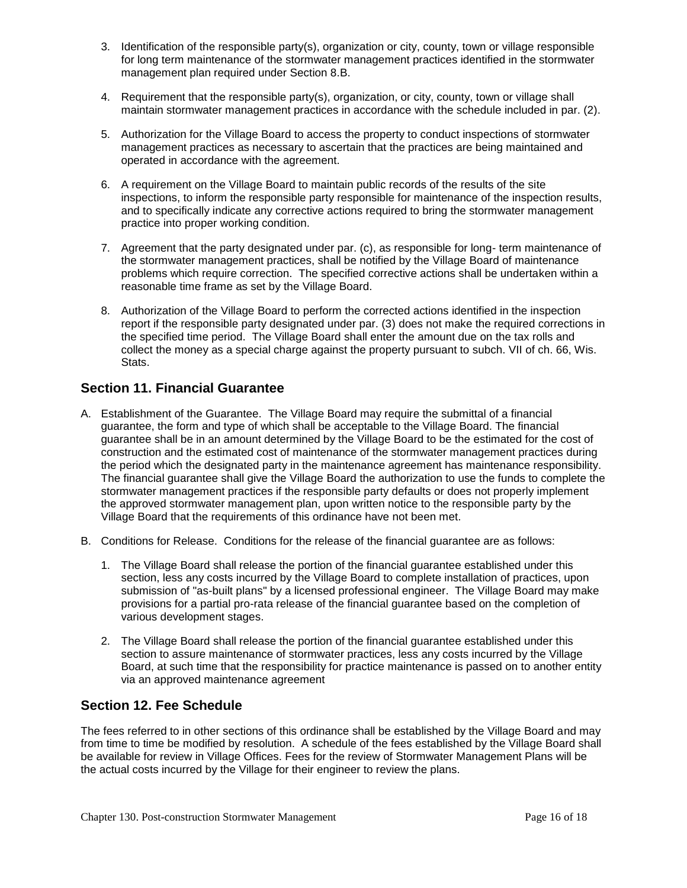- 3. Identification of the responsible party(s), organization or city, county, town or village responsible for long term maintenance of the stormwater management practices identified in the stormwater management plan required under Section 8.B.
- 4. Requirement that the responsible party(s), organization, or city, county, town or village shall maintain stormwater management practices in accordance with the schedule included in par. (2).
- 5. Authorization for the Village Board to access the property to conduct inspections of stormwater management practices as necessary to ascertain that the practices are being maintained and operated in accordance with the agreement.
- 6. A requirement on the Village Board to maintain public records of the results of the site inspections, to inform the responsible party responsible for maintenance of the inspection results, and to specifically indicate any corrective actions required to bring the stormwater management practice into proper working condition.
- 7. Agreement that the party designated under par. (c), as responsible for long- term maintenance of the stormwater management practices, shall be notified by the Village Board of maintenance problems which require correction. The specified corrective actions shall be undertaken within a reasonable time frame as set by the Village Board.
- 8. Authorization of the Village Board to perform the corrected actions identified in the inspection report if the responsible party designated under par. (3) does not make the required corrections in the specified time period. The Village Board shall enter the amount due on the tax rolls and collect the money as a special charge against the property pursuant to subch. VII of ch. 66, Wis. Stats.

# **Section 11. Financial Guarantee**

- A. Establishment of the Guarantee. The Village Board may require the submittal of a financial guarantee, the form and type of which shall be acceptable to the Village Board. The financial guarantee shall be in an amount determined by the Village Board to be the estimated for the cost of construction and the estimated cost of maintenance of the stormwater management practices during the period which the designated party in the maintenance agreement has maintenance responsibility. The financial guarantee shall give the Village Board the authorization to use the funds to complete the stormwater management practices if the responsible party defaults or does not properly implement the approved stormwater management plan, upon written notice to the responsible party by the Village Board that the requirements of this ordinance have not been met.
- B. Conditions for Release. Conditions for the release of the financial guarantee are as follows:
	- 1. The Village Board shall release the portion of the financial guarantee established under this section, less any costs incurred by the Village Board to complete installation of practices, upon submission of "as-built plans" by a licensed professional engineer. The Village Board may make provisions for a partial pro-rata release of the financial guarantee based on the completion of various development stages.
	- 2. The Village Board shall release the portion of the financial guarantee established under this section to assure maintenance of stormwater practices, less any costs incurred by the Village Board, at such time that the responsibility for practice maintenance is passed on to another entity via an approved maintenance agreement

### **Section 12. Fee Schedule**

The fees referred to in other sections of this ordinance shall be established by the Village Board and may from time to time be modified by resolution. A schedule of the fees established by the Village Board shall be available for review in Village Offices. Fees for the review of Stormwater Management Plans will be the actual costs incurred by the Village for their engineer to review the plans.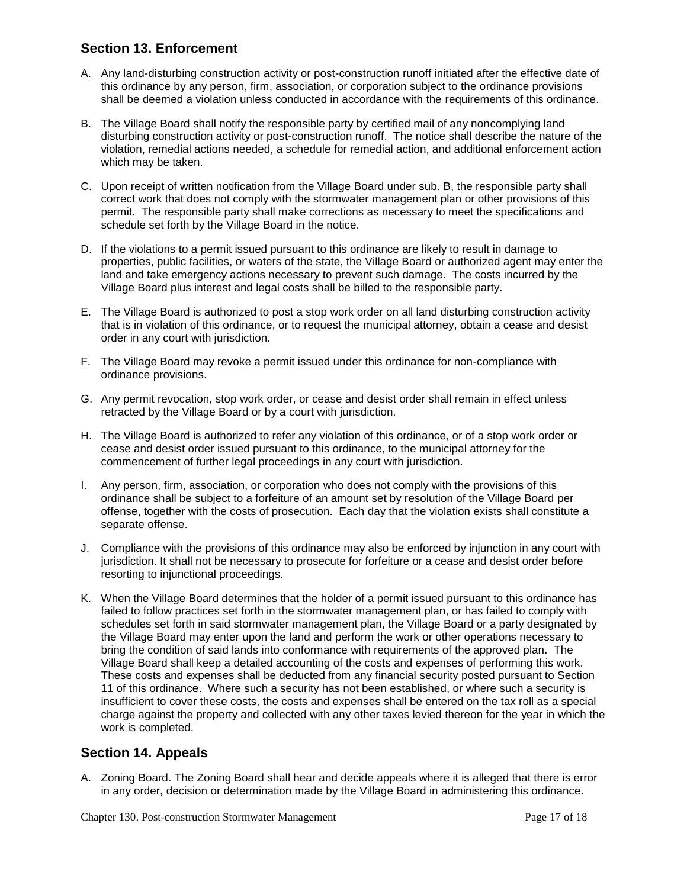# **Section 13. Enforcement**

- A. Any land-disturbing construction activity or post-construction runoff initiated after the effective date of this ordinance by any person, firm, association, or corporation subject to the ordinance provisions shall be deemed a violation unless conducted in accordance with the requirements of this ordinance.
- B. The Village Board shall notify the responsible party by certified mail of any noncomplying land disturbing construction activity or post-construction runoff. The notice shall describe the nature of the violation, remedial actions needed, a schedule for remedial action, and additional enforcement action which may be taken.
- C. Upon receipt of written notification from the Village Board under sub. B, the responsible party shall correct work that does not comply with the stormwater management plan or other provisions of this permit. The responsible party shall make corrections as necessary to meet the specifications and schedule set forth by the Village Board in the notice.
- D. If the violations to a permit issued pursuant to this ordinance are likely to result in damage to properties, public facilities, or waters of the state, the Village Board or authorized agent may enter the land and take emergency actions necessary to prevent such damage. The costs incurred by the Village Board plus interest and legal costs shall be billed to the responsible party.
- E. The Village Board is authorized to post a stop work order on all land disturbing construction activity that is in violation of this ordinance, or to request the municipal attorney, obtain a cease and desist order in any court with jurisdiction.
- F. The Village Board may revoke a permit issued under this ordinance for non-compliance with ordinance provisions.
- G. Any permit revocation, stop work order, or cease and desist order shall remain in effect unless retracted by the Village Board or by a court with jurisdiction.
- H. The Village Board is authorized to refer any violation of this ordinance, or of a stop work order or cease and desist order issued pursuant to this ordinance, to the municipal attorney for the commencement of further legal proceedings in any court with jurisdiction.
- I. Any person, firm, association, or corporation who does not comply with the provisions of this ordinance shall be subject to a forfeiture of an amount set by resolution of the Village Board per offense, together with the costs of prosecution. Each day that the violation exists shall constitute a separate offense.
- J. Compliance with the provisions of this ordinance may also be enforced by injunction in any court with jurisdiction. It shall not be necessary to prosecute for forfeiture or a cease and desist order before resorting to injunctional proceedings.
- K. When the Village Board determines that the holder of a permit issued pursuant to this ordinance has failed to follow practices set forth in the stormwater management plan, or has failed to comply with schedules set forth in said stormwater management plan, the Village Board or a party designated by the Village Board may enter upon the land and perform the work or other operations necessary to bring the condition of said lands into conformance with requirements of the approved plan. The Village Board shall keep a detailed accounting of the costs and expenses of performing this work. These costs and expenses shall be deducted from any financial security posted pursuant to Section 11 of this ordinance. Where such a security has not been established, or where such a security is insufficient to cover these costs, the costs and expenses shall be entered on the tax roll as a special charge against the property and collected with any other taxes levied thereon for the year in which the work is completed.

# **Section 14. Appeals**

A. Zoning Board. The Zoning Board shall hear and decide appeals where it is alleged that there is error in any order, decision or determination made by the Village Board in administering this ordinance.